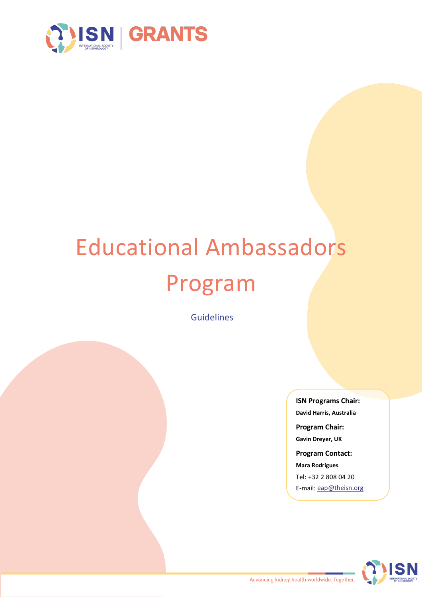

# Educational Ambassadors Program

Guidelines

**ISN Programs Chair: David Harris, Australia Program Chair: Gavin Dreyer, UK Program Contact: Mara Rodrigues** Tel: +32 2 808 04 20

E-mail: [eap@theisn.org](mailto:eap@theisn.org)

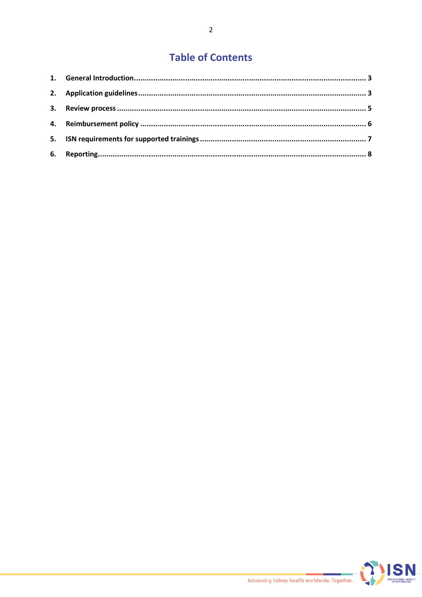# **Table of Contents**

| 6. |  |
|----|--|

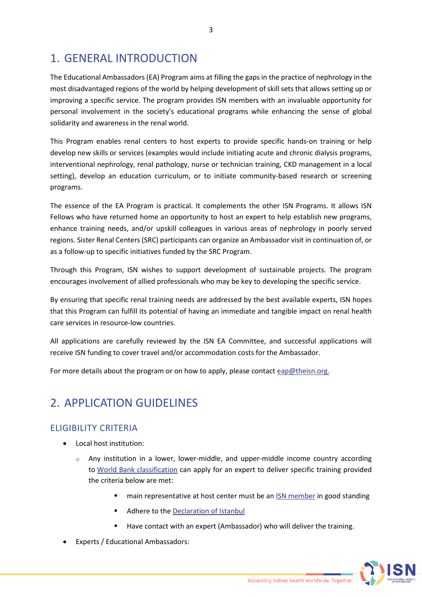# <span id="page-2-0"></span>1. GENERAL INTRODUCTION

The Educational Ambassadors (EA) Program aims at filling the gaps in the practice of nephrology in the most disadvantaged regions of the world by helping development of skill sets that allows setting up or improving a specific service. The program provides ISN members with an invaluable opportunity for personal involvement in the society's educational programs while enhancing the sense of global solidarity and awareness in the renal world.

This Program enables renal centers to host experts to provide specific hands-on training or help develop new skills or services (examples would include initiating acute and chronic dialysis programs, interventional nephrology, renal pathology, nurse or technician training, CKD management in a local setting), develop an education curriculum, or to initiate community-based research or screening programs.

The essence of the EA Program is practical. It complements the other ISN Programs. It allows ISN Fellows who have returned home an opportunity to host an expert to help establish new programs, enhance training needs, and/or upskill colleagues in various areas of nephrology in poorly served regions. Sister Renal Centers (SRC) participants can organize an Ambassador visit in continuation of, or as a follow-up to specific initiatives funded by the SRC Program.

Through this Program, ISN wishes to support development of sustainable projects. The program encourages involvement of allied professionals who may be key to developing the specific service.

By ensuring that specific renal training needs are addressed by the best available experts, ISN hopes that this Program can fulfill its potential of having an immediate and tangible impact on renal health care services in resource-low countries.

All applications are carefully reviewed by the ISN EA Committee, and successful applications will receive ISN funding to cover travel and/or accommodation costs for the Ambassador.

For more details about the program or on how to apply, please contact  $\frac{e}{2}$  eap@theisn.org.

# <span id="page-2-1"></span>2. APPLICATION GUIDELINES

## ELIGIBILITY CRITERIA

- Local host institution:
	- $\circ$  Any institution in a lower, lower-middle, and upper-middle income country according to [World Bank classification](https://datahelpdesk.worldbank.org/knowledgebase/articles/906519-world-bank-country-and-lending-groups) can apply for an expert to deliver specific training provided the criteria below are met:
		- **namble 1** main representative at host center must be an [ISN member](https://www.theisn.org/join-the-isn/become-a-member/) in good standing
		- Adhere to th[e Declaration of Istanbul](http://www.declarationofistanbul.org/)
		- Have contact with an expert (Ambassador) who will deliver the training.
- Experts / Educational Ambassadors:

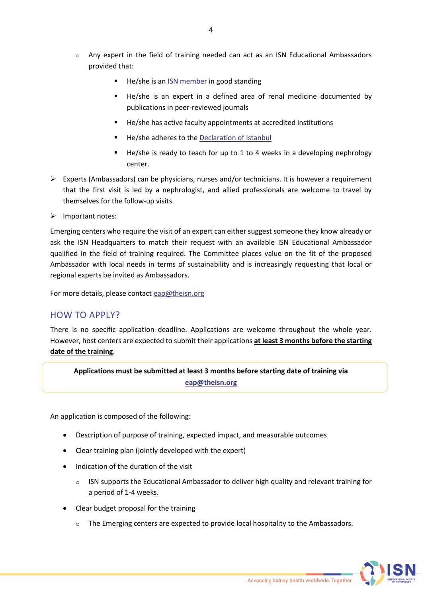- $\circ$  Any expert in the field of training needed can act as an ISN Educational Ambassadors provided that:
	- He/she is an **ISN** member in good standing
	- He/she is an expert in a defined area of renal medicine documented by publications in peer-reviewed journals
	- He/she has active faculty appointments at accredited institutions
	- He/she adheres to the [Declaration of Istanbul](http://www.declarationofistanbul.org/)
	- He/she is ready to teach for up to 1 to 4 weeks in a developing nephrology center.
- $\triangleright$  Experts (Ambassadors) can be physicians, nurses and/or technicians. It is however a requirement that the first visit is led by a nephrologist, and allied professionals are welcome to travel by themselves for the follow-up visits.
- $\triangleright$  Important notes:

Emerging centers who require the visit of an expert can either suggest someone they know already or ask the ISN Headquarters to match their request with an available ISN Educational Ambassador qualified in the field of training required. The Committee places value on the fit of the proposed Ambassador with local needs in terms of sustainability and is increasingly requesting that local or regional experts be invited as Ambassadors.

For more details, please contac[t eap@theisn.org](mailto:eap@theisn.org)

## HOW TO APPLY?

There is no specific application deadline. Applications are welcome throughout the whole year. However, host centers are expected to submit their applications **at least 3 months before the starting date of the training**.

**Applications must be submitted at least 3 months before starting date of training via [eap@theisn.org](mailto:eap@theisn.org)**

An application is composed of the following:

- Description of purpose of training, expected impact, and measurable outcomes
- Clear training plan (jointly developed with the expert)
- Indication of the duration of the visit
	- $\circ$  ISN supports the Educational Ambassador to deliver high quality and relevant training for a period of 1-4 weeks.
- Clear budget proposal for the training
	- $\circ$  The Emerging centers are expected to provide local hospitality to the Ambassadors.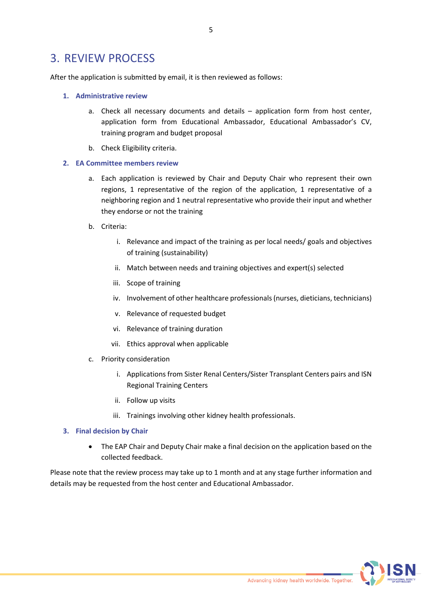## <span id="page-4-0"></span>3. REVIEW PROCESS

After the application is submitted by email, it is then reviewed as follows:

#### **1. Administrative review**

- a. Check all necessary documents and details application form from host center, application form from Educational Ambassador, Educational Ambassador's CV, training program and budget proposal
- b. Check Eligibility criteria.

#### **2. EA Committee members review**

- a. Each application is reviewed by Chair and Deputy Chair who represent their own regions, 1 representative of the region of the application, 1 representative of a neighboring region and 1 neutral representative who provide their input and whether they endorse or not the training
- b. Criteria:
	- i. Relevance and impact of the training as per local needs/ goals and objectives of training (sustainability)
	- ii. Match between needs and training objectives and expert(s) selected
	- iii. Scope of training
	- iv. Involvement of other healthcare professionals (nurses, dieticians, technicians)
	- v. Relevance of requested budget
	- vi. Relevance of training duration
	- vii. Ethics approval when applicable
- c. Priority consideration
	- i. Applications from Sister Renal Centers/Sister Transplant Centers pairs and ISN Regional Training Centers
	- ii. Follow up visits
	- iii. Trainings involving other kidney health professionals.

#### **3. Final decision by Chair**

• The EAP Chair and Deputy Chair make a final decision on the application based on the collected feedback.

Please note that the review process may take up to 1 month and at any stage further information and details may be requested from the host center and Educational Ambassador.

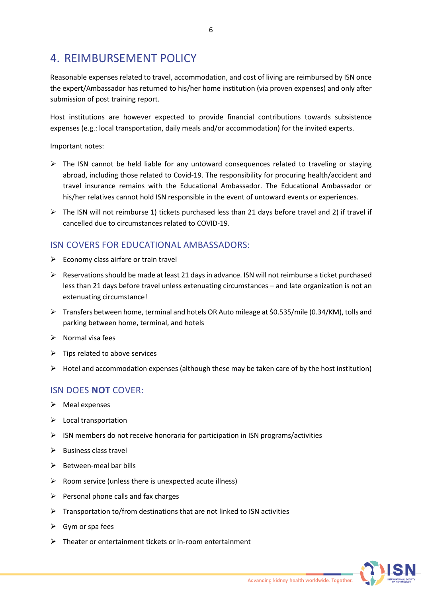# <span id="page-5-0"></span>4. REIMBURSEMENT POLICY

Reasonable expenses related to travel, accommodation, and cost of living are reimbursed by ISN once the expert/Ambassador has returned to his/her home institution (via proven expenses) and only after submission of post training report.

Host institutions are however expected to provide financial contributions towards subsistence expenses (e.g.: local transportation, daily meals and/or accommodation) for the invited experts.

Important notes:

- $\triangleright$  The ISN cannot be held liable for any untoward consequences related to traveling or staying abroad, including those related to Covid-19. The responsibility for procuring health/accident and travel insurance remains with the Educational Ambassador. The Educational Ambassador or his/her relatives cannot hold ISN responsible in the event of untoward events or experiences.
- $\triangleright$  The ISN will not reimburse 1) tickets purchased less than 21 days before travel and 2) if travel if cancelled due to circumstances related to COVID-19.

## ISN COVERS FOR EDUCATIONAL AMBASSADORS:

- $\triangleright$  Economy class airfare or train travel
- $\triangleright$  Reservations should be made at least 21 days in advance. ISN will not reimburse a ticket purchased less than 21 days before travel unless extenuating circumstances – and late organization is not an extenuating circumstance!
- $\triangleright$  Transfers between home, terminal and hotels OR Auto mileage at \$0.535/mile (0.34/KM), tolls and parking between home, terminal, and hotels
- $\triangleright$  Normal visa fees
- $\triangleright$  Tips related to above services
- $\triangleright$  Hotel and accommodation expenses (although these may be taken care of by the host institution)

## ISN DOES **NOT** COVER:

- $\triangleright$  Meal expenses
- $\triangleright$  Local transportation
- $\triangleright$  ISN members do not receive honoraria for participation in ISN programs/activities
- $\triangleright$  Business class travel
- $\triangleright$  Between-meal bar bills
- $\triangleright$  Room service (unless there is unexpected acute illness)
- $\triangleright$  Personal phone calls and fax charges
- $\triangleright$  Transportation to/from destinations that are not linked to ISN activities
- $\triangleright$  Gym or spa fees
- $\triangleright$  Theater or entertainment tickets or in-room entertainment

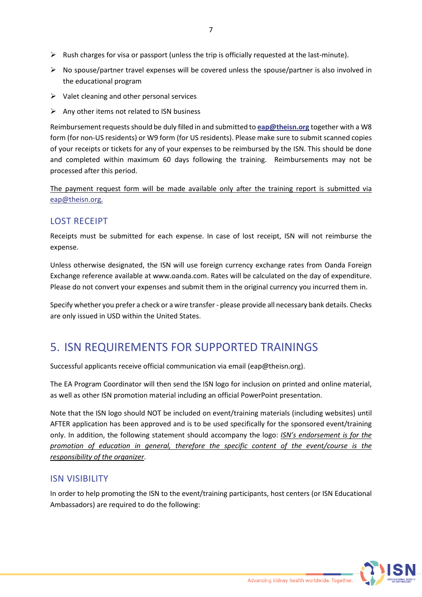- $\triangleright$  Rush charges for visa or passport (unless the trip is officially requested at the last-minute).
- $\triangleright$  No spouse/partner travel expenses will be covered unless the spouse/partner is also involved in the educational program

7

- $\triangleright$  Valet cleaning and other personal services
- $\triangleright$  Any other items not related to ISN business

Reimbursementrequestsshould be duly filled in and submitted to **[eap@theisn.org](mailto:eap@theisn.org)** together with a W8 form (for non-US residents) or W9 form (for US residents). Please make sure to submit scanned copies of your receipts or tickets for any of your expenses to be reimbursed by the ISN. This should be done and completed within maximum 60 days following the training. Reimbursements may not be processed after this period.

The payment request form will be made available only after the training report is submitted via [eap@theisn.org.](mailto:eap@theisn.org)

## LOST RECEIPT

Receipts must be submitted for each expense. In case of lost receipt, ISN will not reimburse the expense.

Unless otherwise designated, the ISN will use foreign currency exchange rates from Oanda Foreign Exchange reference available at www.oanda.com. Rates will be calculated on the day of expenditure. Please do not convert your expenses and submit them in the original currency you incurred them in.

Specify whether you prefer a check or a wire transfer - please provide all necessary bank details. Checks are only issued in USD within the United States.

# <span id="page-6-0"></span>5. ISN REQUIREMENTS FOR SUPPORTED TRAININGS

Successful applicants receive official communication via email (eap@theisn.org).

The EA Program Coordinator will then send the ISN logo for inclusion on printed and online material, as well as other ISN promotion material including an official PowerPoint presentation.

Note that the ISN logo should NOT be included on event/training materials (including websites) until AFTER application has been approved and is to be used specifically for the sponsored event/training only. In addition, the following statement should accompany the logo: *ISN's endorsement is for the promotion of education in general, therefore the specific content of the event/course is the responsibility of the organizer*.

### ISN VISIBILITY

In order to help promoting the ISN to the event/training participants, host centers (or ISN Educational Ambassadors) are required to do the following:

Advancing kidney health worldwide. Together